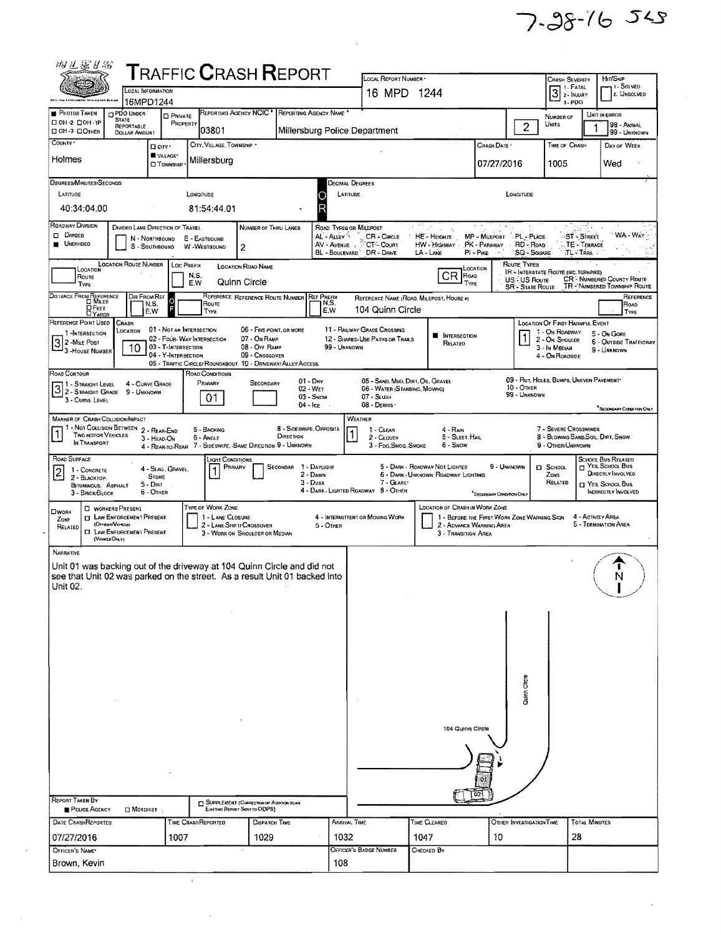7.98-16 545

 $\hat{\mathcal{A}}$ 

| 物不完外貌                                                                      |                                                               |                                                   |                    |                                                                                     |                               |                                                             |                          |                                                                    |                                     |                                                                               |                                                                                            |                                                   |                                          |                                                                            |  |  |
|----------------------------------------------------------------------------|---------------------------------------------------------------|---------------------------------------------------|--------------------|-------------------------------------------------------------------------------------|-------------------------------|-------------------------------------------------------------|--------------------------|--------------------------------------------------------------------|-------------------------------------|-------------------------------------------------------------------------------|--------------------------------------------------------------------------------------------|---------------------------------------------------|------------------------------------------|----------------------------------------------------------------------------|--|--|
| <b>T</b> RAFFIC <b>C</b> RASH <b>R</b> EPORT<br><b>LOCAL INFORMATION</b>   |                                                               |                                                   |                    |                                                                                     |                               |                                                             |                          | LOCAL REPORT NUMBER<br>16 MPD 1244                                 |                                     |                                                                               | Htt/Skip<br><b>CRASH SEVERITY</b><br>- 1 - Solved<br>$\overline{3}$ : Fatal<br>2. UNSOLVED |                                                   |                                          |                                                                            |  |  |
|                                                                            | 16MPD1244                                                     |                                                   |                    |                                                                                     |                               |                                                             |                          |                                                                    |                                     |                                                                               |                                                                                            |                                                   | 3. PDO                                   |                                                                            |  |  |
| <b>PHOTOS TAKEN</b><br>□ 0Н-2 □ 0Н-1Р                                      | PDO UNDER<br><b>STATE</b><br>REPORTABLE                       | <b>CI PRIVATE</b><br>PROPERTY                     |                    | REPORTING AGENCY NCIC <sup>+</sup>                                                  |                               |                                                             | REPORTING AGENCY NAME    |                                                                    |                                     |                                                                               |                                                                                            | NUMBER OF<br>Units                                |                                          | UNIT IN ERROR<br>98 - ANIMAL                                               |  |  |
| □ 0Н-3 □ Отнек                                                             | <b>DOLLAR AMOUNT</b>                                          |                                                   |                    | 03801                                                                               |                               |                                                             |                          | Millersburg Police Department                                      |                                     |                                                                               | $\overline{2}$                                                                             |                                                   |                                          | 99 - Unknown                                                               |  |  |
| COUNTY *                                                                   |                                                               | D CITY *<br><b>WILLAGE*</b>                       |                    | CITY, VILLAGE, TOWNSHIP *                                                           |                               |                                                             |                          |                                                                    |                                     | CRASH DATE *                                                                  |                                                                                            |                                                   | TIME OF CRASH                            | DAY OF WEEK                                                                |  |  |
| Holmes                                                                     |                                                               | О⊤омизн⊪                                          |                    | Millersburg                                                                         |                               |                                                             |                          |                                                                    |                                     | 07/27/2016                                                                    |                                                                                            | 1005                                              |                                          | Wed                                                                        |  |  |
| DEGREES/MINUTES/SECONDS                                                    |                                                               |                                                   |                    |                                                                                     |                               |                                                             |                          | <b>DECIMAL DEGREES</b>                                             |                                     |                                                                               |                                                                                            |                                                   |                                          |                                                                            |  |  |
| LATITUDE                                                                   |                                                               |                                                   | LONGITUDE          |                                                                                     |                               |                                                             | O                        | LATITUDE                                                           |                                     |                                                                               | LONGITUDE                                                                                  |                                                   |                                          |                                                                            |  |  |
| 40:34:04.00                                                                |                                                               |                                                   |                    | 81:54:44.01                                                                         |                               |                                                             | R                        |                                                                    |                                     |                                                                               |                                                                                            |                                                   |                                          |                                                                            |  |  |
| ROADWAY DIVISION<br><b>CI DIVIDED</b>                                      | DIVIDED LANE DIRECTION OF TRAVEL                              |                                                   |                    |                                                                                     | NUMBER OF THRU LANES          |                                                             | AL - ALLEY '             | ROAD TYPES OR MILEPOST<br>CR - CIRCLE                              | 大学学<br>HE-HEIGHTS                   | MP - MILEPOST                                                                 | PL - PLACE                                                                                 |                                                   | <b>ST - SIREET</b>                       | WA - WAY                                                                   |  |  |
| <b>UNDIVIDED</b>                                                           |                                                               | N - NORTHBOUND<br>S - SOUTHBOUND                  | E - EASTBOUND      | W-WESTBOUND                                                                         | $\overline{c}$                |                                                             |                          | AV - AVENUE : CT- COURT                                            | HW - HIGHWAY                        | PK - PARKWAY                                                                  | RD - ROAD                                                                                  |                                                   | TE - TERRACE                             |                                                                            |  |  |
|                                                                            | <b>LOCATION ROUTE NUMBER</b>                                  |                                                   | <b>LOC PREFIX</b>  |                                                                                     | <b>LOCATION ROAD NAME</b>     |                                                             |                          | BL - BOULEVARD DR - DRIVE                                          | $LA - LANE$                         | $PI - P$ IKE                                                                  | Route Types                                                                                | <b>SQ - SQUARE</b>                                | TL TRAIL                                 |                                                                            |  |  |
| LOCATION<br>ROUTE<br>TYPE                                                  |                                                               |                                                   | N,S,<br>E.W        |                                                                                     | Quinn Circle                  |                                                             |                          |                                                                    | CR                                  | LOCATION<br>ROAD<br>TYPE                                                      | US-US Route                                                                                |                                                   | IR - INTERSTATE ROUTE (INC. TURNPIKE)    | <b>CR'- NUMBERED COUNTY ROUTE</b>                                          |  |  |
| DISTANCE FROM REFERENCE                                                    | DIR FROM REF                                                  |                                                   |                    |                                                                                     |                               | REFERENCE REFERENCE ROUTE NUMBER REF PREFIX                 |                          | REFERENCE NAME (ROAD, MILEPOST, HOUSE #)                           |                                     |                                                                               | <b>SR - STATE ROUTE</b>                                                                    |                                                   |                                          | TR - NUMBERED TOWNSHIP ROUTE<br>REFERENCE                                  |  |  |
| ОЕєєт<br><b>LYARDS</b>                                                     |                                                               | lо<br>N,S.<br>E,W                                 |                    | Route<br>TYPE                                                                       |                               |                                                             | N,S,<br>E W              | 104 Quinn Circle                                                   |                                     |                                                                               |                                                                                            |                                                   |                                          | ROAD<br>TYPE                                                               |  |  |
| REFERENCE POINT USED CRASH                                                 | LOCATION                                                      | 01 - NOT AN INTERSECTION                          |                    |                                                                                     | 06 - FIVE-POINT, OR MORE      |                                                             |                          | 11 - RAILWAY GRADE CROSSING                                        |                                     |                                                                               |                                                                                            |                                                   | <b>LOCATION OF FIRST HARMFUL EVENT</b>   |                                                                            |  |  |
| 1-INTERSECTION<br>$\vert 3 \vert$<br>2 -MILE POST                          |                                                               | 02 - FOUR-WAY INTERSECTION<br>03 - T-INTERSECTION |                    |                                                                                     | 07 - On RAMP<br>08 - Off RAMP |                                                             | 99 - UNKNOWN             | 12 - SHARED-USE PATHS OR TRAILS                                    | <b>E</b> INTERSECTION<br>Related    |                                                                               |                                                                                            | 1 - On ROADWAY<br>2 - On Shoulde<br>3 - In MEDIAN |                                          | 5 - On GORE<br><b>6 - OUTSIDE TRAFFICWAY</b>                               |  |  |
| 3 - HOUSE NUMBER                                                           | 10                                                            | 04 - Y-Intersection                               |                    |                                                                                     | 09 - Crossover                |                                                             |                          |                                                                    |                                     |                                                                               |                                                                                            | 4 - On Roadside                                   |                                          | 9 - UNKNOWN                                                                |  |  |
| ROAD CONTOUR                                                               |                                                               |                                                   |                    | ROAD CONDITIONS                                                                     |                               | 05 - TRAFFIC CIRCLE/ ROUNDABOUT 10 - DRIVEWAY/ ALLEY ACCESS |                          |                                                                    |                                     |                                                                               |                                                                                            |                                                   |                                          |                                                                            |  |  |
| $\boxed{3}$ $\frac{1}{2}$ - Straight Level                                 | 4 - CURVE GRADE<br>9 - Unknown                                |                                                   |                    | Primary                                                                             | SECONDARY                     |                                                             | $01 - Drv$<br>$02 - Wer$ | 05 - SAND, MUD, DIRT, OIL, GRAVEL<br>06 - WATER (STANDING, MOVING) |                                     |                                                                               | $10 -$ OTHER<br>99 - Unknown                                                               |                                                   | 09 - RUT, HOLES, BUMPS, UNEVEN PAVEMENT* |                                                                            |  |  |
| 3 - CURVE LEVEL                                                            |                                                               |                                                   |                    | 01                                                                                  |                               | 04 - Ice                                                    | 03 - Snow                | 07 - SLUSH<br>08 - Deans                                           |                                     |                                                                               |                                                                                            |                                                   |                                          | <sup>*</sup> SECONDARY CONDITION ONLY                                      |  |  |
| MANNER OF CRASH COLLISION/IMPACT                                           |                                                               |                                                   |                    |                                                                                     |                               |                                                             |                          | <b>WEATHER</b>                                                     |                                     |                                                                               |                                                                                            |                                                   |                                          |                                                                            |  |  |
| <b>TWO MOTOR VEHICLES</b>                                                  | 1 - Not Collision Between 2 - Rear-End                        | 3 - HEAD-ON                                       |                    | 5 - BACKING<br>6 - Angle                                                            |                               | 8 - SIDESWIPE, OPPOSITE<br>DIRECTION                        |                          | 1 - CLEAR<br>2 - CLOUDY                                            | $4 - R_{AlN}$                       | 5 - SLEET HAIL                                                                |                                                                                            |                                                   | 7 - SEVERE CROSSWINDS                    | 8 - BLOWING SAND, SOIL, DIRT, SNOW                                         |  |  |
| IN TRANSPORT                                                               |                                                               |                                                   |                    |                                                                                     |                               | 4 - REAR-TO-REAR 7 - SIDESWIPE, SAME DIRECTION 9 - UNKNOWN  |                          | 3 - Fog.SMOG. SMOKE                                                | 6 - Snow                            |                                                                               |                                                                                            |                                                   | 9 - OTHER/UNKNOWN                        |                                                                            |  |  |
| <b>ROAD SURFACE</b><br>$\overline{\mathbf{c}}$<br>1 - CONCRETE             |                                                               | 4 - SLAG, GRAVEL.                                 |                    | Light Conditions<br>Primary                                                         |                               | SECONDAR 1 - DAYLIGHT                                       |                          |                                                                    | 5 - DARK - ROADWAY NOT LIGHTED      |                                                                               | 9 - UNKNOWN                                                                                | <b>D</b> SCHOOL                                   |                                          | <b>SCHOOL BUS RELATED</b><br><b>T</b> YES, SCHOOL BUS<br>DIRECTLY INVOLVED |  |  |
| 2 - BLACKTOP.<br><b>BITUMINOUS, ASPHALT</b>                                |                                                               | <b>STONE</b><br>$5 -$ DIRT                        |                    |                                                                                     |                               |                                                             | $2 -$ DAWN<br>$3 -$ Dusk | 7 - GLARE*                                                         | 6 - DARK - UNKNOWN ROADWAY LIGHTING |                                                                               |                                                                                            | ZONE<br>RELATED                                   |                                          | YES, SCHOOL BUS                                                            |  |  |
| 3 - BRICK/BLOCK                                                            |                                                               | 6 - OTHER                                         |                    |                                                                                     |                               |                                                             |                          | 4 - DARK - LIGHTED ROADWAY 8 - OTHER                               |                                     | <sup>*</sup> SECONDARY CONDITION ONLY                                         |                                                                                            |                                                   |                                          | INDIRECTLY INVOLVED                                                        |  |  |
| <b>CIWORK</b><br>ZONE                                                      | <b>EI WORKERS PRESENT</b><br><b>I LAW ENFORCEMENT PRESENT</b> |                                                   |                    | TYPE OF WORK ZONE<br>1 - LANE CLOSURE                                               |                               |                                                             |                          | 4 - INTERMITTENT OR MOVING WORK                                    |                                     | LOCATION OF CRASH IN WORK ZONE<br>1 - BEFORE THE FIRST WORK ZONE WARNING SIGN |                                                                                            |                                                   |                                          | 4 - ACTIVITY AREA                                                          |  |  |
| RELATED                                                                    | (OFFICER/VEHICLE)<br><b>I LAW ENFORCEMENT PRESENT</b>         |                                                   |                    | 2 - LANE SHIFT/ CROSSOVER<br>3 - WORK ON SHOULDER OR MEDIAN                         |                               |                                                             | 5 - OTHER                |                                                                    |                                     | 2 - ADVANCE WARNING AREA<br>3 - TRANSITION AREA                               |                                                                                            |                                                   |                                          | 5 - TERMINATION AREA                                                       |  |  |
| <b>NARRATIVE</b>                                                           | (Vescus Orar)                                                 |                                                   |                    |                                                                                     |                               |                                                             |                          |                                                                    |                                     |                                                                               |                                                                                            |                                                   |                                          |                                                                            |  |  |
| Unit 01 was backing out of the driveway at 104 Quinn Circle and did not    |                                                               |                                                   |                    |                                                                                     |                               |                                                             |                          |                                                                    |                                     |                                                                               |                                                                                            |                                                   |                                          |                                                                            |  |  |
| see that Unit 02 was parked on the street. As a result Unit 01 backed into |                                                               |                                                   |                    |                                                                                     |                               |                                                             |                          |                                                                    |                                     |                                                                               |                                                                                            |                                                   |                                          |                                                                            |  |  |
| Unit 02.                                                                   |                                                               |                                                   |                    |                                                                                     |                               |                                                             |                          |                                                                    |                                     |                                                                               |                                                                                            |                                                   |                                          |                                                                            |  |  |
|                                                                            |                                                               |                                                   |                    |                                                                                     |                               |                                                             |                          |                                                                    |                                     |                                                                               |                                                                                            |                                                   |                                          |                                                                            |  |  |
|                                                                            |                                                               |                                                   |                    |                                                                                     |                               |                                                             |                          |                                                                    |                                     |                                                                               |                                                                                            |                                                   |                                          |                                                                            |  |  |
|                                                                            |                                                               |                                                   |                    |                                                                                     |                               |                                                             |                          |                                                                    |                                     |                                                                               |                                                                                            |                                                   |                                          |                                                                            |  |  |
|                                                                            |                                                               |                                                   |                    |                                                                                     |                               |                                                             |                          |                                                                    |                                     |                                                                               |                                                                                            |                                                   |                                          |                                                                            |  |  |
|                                                                            |                                                               |                                                   |                    |                                                                                     |                               |                                                             |                          |                                                                    |                                     |                                                                               |                                                                                            |                                                   |                                          |                                                                            |  |  |
|                                                                            |                                                               |                                                   |                    |                                                                                     |                               |                                                             |                          |                                                                    |                                     |                                                                               | Quinn Circle                                                                               |                                                   |                                          |                                                                            |  |  |
|                                                                            |                                                               |                                                   |                    |                                                                                     |                               |                                                             |                          |                                                                    |                                     |                                                                               |                                                                                            |                                                   |                                          |                                                                            |  |  |
|                                                                            |                                                               |                                                   |                    |                                                                                     |                               |                                                             |                          |                                                                    |                                     |                                                                               |                                                                                            |                                                   |                                          |                                                                            |  |  |
|                                                                            |                                                               |                                                   |                    |                                                                                     | 104 Quinn Circle              |                                                             |                          |                                                                    |                                     |                                                                               |                                                                                            |                                                   |                                          |                                                                            |  |  |
|                                                                            |                                                               |                                                   |                    |                                                                                     |                               |                                                             |                          |                                                                    |                                     |                                                                               |                                                                                            |                                                   |                                          |                                                                            |  |  |
|                                                                            |                                                               |                                                   |                    |                                                                                     |                               |                                                             |                          |                                                                    |                                     |                                                                               |                                                                                            |                                                   |                                          |                                                                            |  |  |
|                                                                            |                                                               |                                                   |                    |                                                                                     |                               |                                                             |                          |                                                                    |                                     |                                                                               |                                                                                            |                                                   |                                          |                                                                            |  |  |
| REPORT TAKEN BY                                                            | $\Box$ MOTORIST.                                              |                                                   |                    | <b>El SUPPLEMENT (CORRECTION OR ADDITION TO AM</b><br>Existing Report Sent to ODPS) |                               |                                                             |                          |                                                                    |                                     |                                                                               |                                                                                            |                                                   |                                          |                                                                            |  |  |
| POLICE AGENCY<br>DATE CRASHREPORTED                                        |                                                               |                                                   | TIME CRASHREPORTED |                                                                                     | DISPATCH TIME                 |                                                             |                          | <b>ARRIVAL TIME</b>                                                | TIME CLEARED                        |                                                                               | OTHER INVESTIGATION TIME                                                                   |                                                   | <b>TOTAL MINUTES</b>                     |                                                                            |  |  |
| 07/27/2016                                                                 |                                                               | 1007                                              |                    |                                                                                     | 1029                          |                                                             | 1032                     |                                                                    | 1047                                | 10                                                                            |                                                                                            |                                                   | 28                                       |                                                                            |  |  |
| OFFICER'S NAME*                                                            |                                                               |                                                   |                    |                                                                                     |                               |                                                             |                          | OFFICER'S BADGE NUMBER                                             | Снескер Вү                          |                                                                               |                                                                                            |                                                   |                                          |                                                                            |  |  |
| Brown, Kevin<br>108                                                        |                                                               |                                                   |                    |                                                                                     |                               |                                                             |                          |                                                                    |                                     |                                                                               |                                                                                            |                                                   |                                          |                                                                            |  |  |

 $\mathcal{L}^{\text{max}}_{\text{max}}$ 

 $\label{eq:2.1} \mathcal{L}_{\text{max}} = \frac{1}{\sqrt{2}} \sum_{i=1}^{N} \frac{1}{\sqrt{2}} \sum_{i=1}^{N} \frac{1}{\sqrt{2}} \sum_{i=1}^{N} \frac{1}{\sqrt{2}} \sum_{i=1}^{N} \frac{1}{\sqrt{2}} \sum_{i=1}^{N} \frac{1}{\sqrt{2}} \sum_{i=1}^{N} \frac{1}{\sqrt{2}} \sum_{i=1}^{N} \frac{1}{\sqrt{2}} \sum_{i=1}^{N} \frac{1}{\sqrt{2}} \sum_{i=1}^{N} \frac{1}{\sqrt{2}} \sum_{i=1}^{N$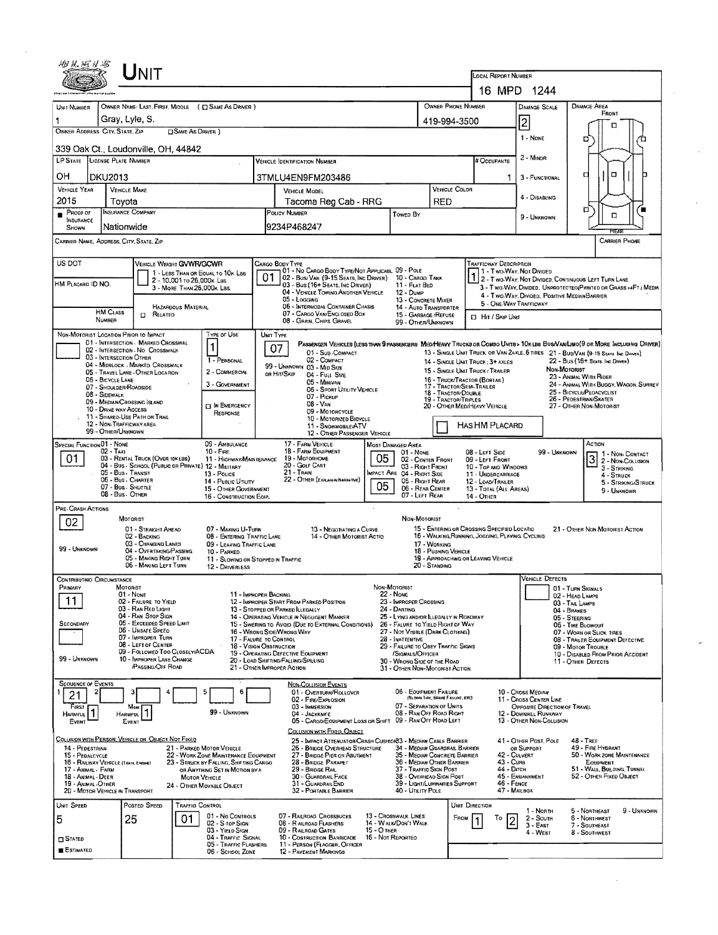| AY 从 Hi bl +5                                                                                                                                                  |                                                                                  | UNIT                                                                      |                            |                                                                                |                                                                                      |                                                                                                                                                                       |                                                                                                                                |                                                                                     |                                      |                                                                                   |                                                                                                                  |                                                              |                                    |                                                                                                                      |                                      |  |  |
|----------------------------------------------------------------------------------------------------------------------------------------------------------------|----------------------------------------------------------------------------------|---------------------------------------------------------------------------|----------------------------|--------------------------------------------------------------------------------|--------------------------------------------------------------------------------------|-----------------------------------------------------------------------------------------------------------------------------------------------------------------------|--------------------------------------------------------------------------------------------------------------------------------|-------------------------------------------------------------------------------------|--------------------------------------|-----------------------------------------------------------------------------------|------------------------------------------------------------------------------------------------------------------|--------------------------------------------------------------|------------------------------------|----------------------------------------------------------------------------------------------------------------------|--------------------------------------|--|--|
|                                                                                                                                                                |                                                                                  |                                                                           |                            | LOCAL REPORT NUMBER<br>16 MPD 1244                                             |                                                                                      |                                                                                                                                                                       |                                                                                                                                |                                                                                     |                                      |                                                                                   |                                                                                                                  |                                                              |                                    |                                                                                                                      |                                      |  |  |
|                                                                                                                                                                |                                                                                  |                                                                           |                            | OWNER NAME: LAST, FIRST, MIDDLE ( Q SAME AS DRIVER )                           |                                                                                      |                                                                                                                                                                       |                                                                                                                                | OWNER PHONE NUMBER<br>DAMAGE AREA<br><b>DAMAGE SCALE</b>                            |                                      |                                                                                   |                                                                                                                  |                                                              |                                    |                                                                                                                      |                                      |  |  |
| UNIT NUMBER                                                                                                                                                    |                                                                                  | Gray, Lyle, S.                                                            |                            |                                                                                |                                                                                      |                                                                                                                                                                       |                                                                                                                                |                                                                                     | 419-994-3500                         |                                                                                   |                                                                                                                  |                                                              |                                    |                                                                                                                      |                                      |  |  |
| OWNER ADDRESS CITY, STATE, ZIP                                                                                                                                 |                                                                                  |                                                                           | <b>OSAME AS DRIVER</b> )   |                                                                                |                                                                                      |                                                                                                                                                                       |                                                                                                                                |                                                                                     |                                      |                                                                                   |                                                                                                                  | $\overline{c}$<br>1 - NONE                                   |                                    | п                                                                                                                    |                                      |  |  |
|                                                                                                                                                                |                                                                                  | 339 Oak Ct., Loudonville, OH, 44842                                       |                            |                                                                                |                                                                                      |                                                                                                                                                                       |                                                                                                                                |                                                                                     |                                      |                                                                                   |                                                                                                                  |                                                              |                                    | o                                                                                                                    |                                      |  |  |
| LP STATE LICENSE PLATE NUMBER                                                                                                                                  |                                                                                  |                                                                           |                            |                                                                                |                                                                                      | <b>VEHICLE IDENTIFICATION NUMBER</b>                                                                                                                                  |                                                                                                                                |                                                                                     |                                      |                                                                                   | # Occupants                                                                                                      | 2 - MINOR                                                    |                                    |                                                                                                                      |                                      |  |  |
| OН                                                                                                                                                             | <b>DKU2013</b>                                                                   |                                                                           |                            |                                                                                |                                                                                      | 3TMLU4EN9FM203486                                                                                                                                                     |                                                                                                                                |                                                                                     |                                      |                                                                                   |                                                                                                                  | 3 - FUNCTIONAL                                               |                                    | $\Box$<br>а                                                                                                          |                                      |  |  |
| VEHICLE YEAR<br>2015                                                                                                                                           |                                                                                  | <b>VEHICLE MAKE</b><br>Toyota                                             |                            |                                                                                |                                                                                      | <b>VEHICLE COLOR</b><br>VEHICLE MODEL<br>Tacoma Reg Cab - RRG<br><b>RED</b>                                                                                           |                                                                                                                                |                                                                                     |                                      |                                                                                   |                                                                                                                  | 4 - DISABLING                                                |                                    |                                                                                                                      |                                      |  |  |
| Proof of                                                                                                                                                       |                                                                                  | <b>INSURANCE COMPANY</b>                                                  |                            |                                                                                |                                                                                      | POLICY NUMBER<br>Towen By                                                                                                                                             |                                                                                                                                |                                                                                     |                                      |                                                                                   |                                                                                                                  | 9 - UNKNOWN                                                  |                                    | o<br>D                                                                                                               |                                      |  |  |
| INSURANCE<br>SHOWN                                                                                                                                             |                                                                                  | Nationwide                                                                |                            |                                                                                |                                                                                      | 9234P468247                                                                                                                                                           |                                                                                                                                |                                                                                     |                                      |                                                                                   |                                                                                                                  |                                                              |                                    | <b>FIFAS</b>                                                                                                         |                                      |  |  |
|                                                                                                                                                                |                                                                                  | CARRIER NAME, ADDRESS, CITY, STATE, ZIP                                   |                            |                                                                                |                                                                                      |                                                                                                                                                                       |                                                                                                                                |                                                                                     |                                      |                                                                                   |                                                                                                                  |                                                              |                                    | <b>CARRIER PHONE</b>                                                                                                 |                                      |  |  |
| US DOT                                                                                                                                                         |                                                                                  | VEHICLE WEIGHT GVWR/GCWR                                                  |                            |                                                                                |                                                                                      | CARGO BODY TYPE<br>01 - No CARGO BODY TYPE/NOT APPLICABL 09 - POLE                                                                                                    |                                                                                                                                |                                                                                     |                                      |                                                                                   | <b>TRAFFICWAY DESCRIPTION</b>                                                                                    |                                                              |                                    |                                                                                                                      |                                      |  |  |
| HM PLACARD ID NO.                                                                                                                                              |                                                                                  |                                                                           | 2 - 10,001 to 26,000x Las  | 1 - LESS THAN OR EQUAL TO 10K LBS                                              | 01                                                                                   | 02 - Bus/ Van (9-15 Seats, Inc Driver) 10 - Cargo Tark<br>03 - Bus (16+ Seats, Inc Driver)                                                                            |                                                                                                                                | 11 - FLAT BED                                                                       |                                      |                                                                                   | 1 - Two-Way, Not Divided<br>2 - Two Way, Not Divided, Continuous Left Turn Lane                                  |                                                              |                                    |                                                                                                                      |                                      |  |  |
|                                                                                                                                                                |                                                                                  |                                                                           | 3 - MORE THAN 26.000K LBS. |                                                                                |                                                                                      | 04 - VEHICLE TOWING ANOTHER VEHICLE<br>05 - Logging                                                                                                                   |                                                                                                                                | 12 - Dump<br>13 - CONCRETE MIXER                                                    |                                      |                                                                                   | 3 - Two-WAY, DIVIDED. UNPROTECTEO(PAINTED OR GRASS >4FT.) MEDIA<br>4 - Two-Way, Divided, Positive Median Barrier |                                                              |                                    |                                                                                                                      |                                      |  |  |
|                                                                                                                                                                | <b>HM CLASS</b>                                                                  | D.<br>RELATED                                                             | <b>HAZARDOUS MATERIAL</b>  |                                                                                |                                                                                      | 06 - INTERMODAL CONTAINER CHASIS<br>07 - CARGO VAN/ENCLOSED BOX                                                                                                       |                                                                                                                                | 14 - AUTO TRANSPORTER<br>15 - GARBAGE / REFUSE                                      |                                      |                                                                                   | 5 - ONE-WAY TRAFFICWAY<br><b>D</b> Hit / Skip Unit                                                               |                                                              |                                    |                                                                                                                      |                                      |  |  |
|                                                                                                                                                                | <b><i><u>NUMBER</u></i></b>                                                      | NON-MOTORIST LOCATION PRIOR TO IMPACT                                     |                            |                                                                                |                                                                                      | 08 - GRAIN, CHIPS, GRAVEL                                                                                                                                             |                                                                                                                                | 99 - OTHER/UNKNOWN                                                                  |                                      |                                                                                   |                                                                                                                  |                                                              |                                    |                                                                                                                      |                                      |  |  |
|                                                                                                                                                                |                                                                                  | 01 - INTERSECTION - MARKED CROSSWAL<br>02 - INTERSECTION - NO CROSSWALK   |                            | Type or Use<br>1                                                               | UNIT TYPE                                                                            | PASSENGER VEHICLES (LESS THAN 9 PASSENGERS MED/HEAVY TRUCKS OR COMBO UNITS > 10 KLBS BUS/VAN/LIMO(9 OR MORE INCLUDING DRIVER)<br>07                                   |                                                                                                                                |                                                                                     |                                      |                                                                                   |                                                                                                                  |                                                              |                                    |                                                                                                                      |                                      |  |  |
|                                                                                                                                                                | 03 - INTERSECTION OTHER                                                          | 04 - MIDBLOCK - MARKED CROSSWALK                                          |                            | 1 - PERSONAL                                                                   |                                                                                      | 01 - SUB-COMPACT<br>02 - COMPACT                                                                                                                                      |                                                                                                                                |                                                                                     |                                      |                                                                                   | 14 - SINGLE UNIT TRUCK: 3+ AXLES                                                                                 |                                                              |                                    | 13 - SINGLE UNIT TRUCK OR VAN ZAXLE, 6 TIRES 21 - BUS/VAN (9-15 SEATS bic DANER)<br>22 - BUS (16+ SEATS, INC DRIVER) |                                      |  |  |
|                                                                                                                                                                | 06 - BICYCLE LANE                                                                | 05 - TRAVEL LANE - OTHER LOCATION                                         |                            | 2 - COMMERCIAL                                                                 |                                                                                      | 99 - UNKNOWN 03 - MID SIZE<br>OR HIT/SKIP<br>04 - Futt Stze<br>05 - MINIVAN                                                                                           |                                                                                                                                |                                                                                     |                                      |                                                                                   | 15 - SINGLE UNIT TRUCK / TRAILER<br>16 - TRUCK/TRACTOR (BOBTAIL)                                                 |                                                              | Non-Motorist                       | 23 - ANIMAL WITH RIDER                                                                                               |                                      |  |  |
|                                                                                                                                                                | 08 - SIDEWALK                                                                    | 07 - SHOULDER/ROADSIDE                                                    |                            | 3 - GOVERNMENT                                                                 |                                                                                      | 06 - SPORT UTILITY VEHICLE<br>07 - Pickup                                                                                                                             |                                                                                                                                |                                                                                     | 18 - TRACTOR/DOUBLE                  |                                                                                   | 17 - TRACTOR/SEMI-TRAILER                                                                                        |                                                              |                                    | 24 - ANIMAL WITH BUGGY, WAGON, SURREV<br>25 - BICYCLE/PEDACYCLIST                                                    |                                      |  |  |
| 09 - MEDIAN CROSSING ISLAND<br><b>TI IN EMERGENCY</b><br>10 - DRIVE WAY ACCESS                                                                                 |                                                                                  |                                                                           |                            |                                                                                |                                                                                      | $08 - VAN$<br>09 - MOTORCYCLE                                                                                                                                         | 19 - TRACTOR/TRIPLES                                                                                                           | 26 - Pedestrian/Skater<br>20 - OTHER MEDIHEAVY VEHICLE<br>27 - OTHER NON-MOTORIST   |                                      |                                                                                   |                                                                                                                  |                                                              |                                    |                                                                                                                      |                                      |  |  |
| RESPONSE<br>11 - SHARED-USE PATH OR TRAIL<br>10 - MOTORIZED BICYCLE<br>12 - NON-TRAFFICWAY AREA<br>HAS HM PLACARD<br>11 - SNOWMOBILE/ATV<br>99 - OTHER/UNKNOWN |                                                                                  |                                                                           |                            |                                                                                |                                                                                      |                                                                                                                                                                       |                                                                                                                                |                                                                                     |                                      |                                                                                   |                                                                                                                  |                                                              |                                    |                                                                                                                      |                                      |  |  |
| SPECIAL FUNCTION 01 - NONE                                                                                                                                     |                                                                                  |                                                                           |                            | 09 - AMBULANCE                                                                 |                                                                                      | 12 - OTHER PASSENGER VEHICLE<br>17 - FARM VEHICLE                                                                                                                     | <b>MOST DAMAGED AREA</b>                                                                                                       |                                                                                     |                                      |                                                                                   |                                                                                                                  |                                                              |                                    | ACTION                                                                                                               |                                      |  |  |
| 02 - Taxi<br>$10 -$ Fire<br>03 - RENTAL TRUCK (OVER 10KLBS)<br>01<br>11 - HIGHWAY/MAINTENANCE                                                                  |                                                                                  |                                                                           |                            |                                                                                | <b>18 - FARM EQUIPMENT</b><br>01 - NONE<br>05<br>19 - Мотояноме<br>02 - CENTER FRONT |                                                                                                                                                                       |                                                                                                                                |                                                                                     |                                      |                                                                                   | 08 - LEFT SIDE<br>09 - LEFT FRONT                                                                                |                                                              | 99 - UNKNOWN                       | 31                                                                                                                   | 1 - NON-CONTACT<br>2 - NON-COLLISION |  |  |
|                                                                                                                                                                |                                                                                  | 04 - Bus - SCHOOL (PUBLIC OR PRIVATE) 12 - MILITARY<br>05 - Bus - Transit |                            | 13 Pouce                                                                       |                                                                                      | 20 - GOLF CART<br>21 - TRAIN                                                                                                                                          |                                                                                                                                | 03 - Right Front<br>MPACT ARE 04 - RIGHT SIDE<br>05 - Right Rear                    |                                      |                                                                                   | 10 - Top and Windows<br>11 - UNDERCARRIAGE                                                                       |                                                              |                                    | $3 - S$ TRIKING<br>4 - Struck                                                                                        |                                      |  |  |
| 06 - Bus - Charter<br>14 - PUBLIC UTILITY<br>07 - Bus. SHUTTLE<br>15 - OTHER GOVERNMENT                                                                        |                                                                                  |                                                                           |                            |                                                                                |                                                                                      | 22 - OTHER (EXPLANM NARRATIVE)                                                                                                                                        | 12 - LOAD/TRAILER<br>5 - STRIKING/STRUCK<br>13 - TOTAL (ALL AREAS)<br>9 - Unknown                                              |                                                                                     |                                      |                                                                                   |                                                                                                                  |                                                              |                                    |                                                                                                                      |                                      |  |  |
| PRE-CRASH ACTIONS                                                                                                                                              | 08 - Bus - OTHER<br>07 - LEFT REAR<br>16 - CONSTRUCTION EOIP.<br>14 - OTHER<br>× |                                                                           |                            |                                                                                |                                                                                      |                                                                                                                                                                       |                                                                                                                                |                                                                                     |                                      |                                                                                   |                                                                                                                  |                                                              |                                    |                                                                                                                      |                                      |  |  |
| 02                                                                                                                                                             |                                                                                  | MOTORIST                                                                  |                            |                                                                                |                                                                                      |                                                                                                                                                                       |                                                                                                                                | <b>NON-MOTORIST</b>                                                                 |                                      |                                                                                   |                                                                                                                  |                                                              |                                    |                                                                                                                      |                                      |  |  |
|                                                                                                                                                                |                                                                                  | 01 - STRAIGHT AHEAD<br>02 - BACKING                                       |                            | 07 - MAKING U-TURN<br>08 - ENTERING TRAFFIC LANE                               |                                                                                      | 13 - NEGOTIATING A CURVE<br>14 - OTHER MOTORIST ACTIO                                                                                                                 |                                                                                                                                |                                                                                     |                                      |                                                                                   | 15 - ENTERING OR CROSSING SPECIFIED LOCATIO<br>16 - WALKING RUNNING, JOGGING, PLAYING, CYCLING                   |                                                              |                                    | 21 - OTHER NON-MOTORIST ACTION                                                                                       |                                      |  |  |
| 99 - UNKNOWN                                                                                                                                                   |                                                                                  | 03 - CHANGING LANES<br>04 - OVERTAKING/PASSING<br>05 - MAKING RIGHT TURN  |                            | 09 - LEAVING TRAFFIC LANE<br>10 - PARKED                                       |                                                                                      |                                                                                                                                                                       |                                                                                                                                |                                                                                     | 17 - WORKING<br>18 - Pushing Vehicle |                                                                                   | 19 - APPROACHING OR LEAVING VEHICLE                                                                              |                                                              |                                    |                                                                                                                      |                                      |  |  |
|                                                                                                                                                                |                                                                                  | 06 - MAKING LEFT TURN                                                     |                            | 11 - SLOWING OR STOPPED IN TRAFFIC<br>12 - DRIVERLESS                          |                                                                                      |                                                                                                                                                                       |                                                                                                                                |                                                                                     | 20 - Standing                        |                                                                                   |                                                                                                                  |                                                              |                                    |                                                                                                                      |                                      |  |  |
| CONTRIBUTINO CIRCUMSTANCE<br>PRIMARY                                                                                                                           |                                                                                  | <b>MOTORIST</b>                                                           |                            |                                                                                |                                                                                      |                                                                                                                                                                       | NON-MOTORIST                                                                                                                   |                                                                                     |                                      |                                                                                   |                                                                                                                  | VEHICLE DEFECTS                                              |                                    | 01 - TURN SIGNALS                                                                                                    |                                      |  |  |
| 11                                                                                                                                                             |                                                                                  | 01 - None<br>02 - FAILURE TO YIELD                                        |                            | 11 - IMPROPER BACKING                                                          |                                                                                      | 12 - IMPROPER START FROM PARKED POSITION                                                                                                                              | 22 - None                                                                                                                      | 23 - IMPROPER CROSSING                                                              |                                      |                                                                                   |                                                                                                                  |                                                              | 02 - HEAD LAMPS<br>03 - TAIL LAMPS |                                                                                                                      |                                      |  |  |
| <b>SECONDARY</b>                                                                                                                                               |                                                                                  | 03 - RAN RED LIGHT<br>04 - RAN STOP SIGN<br>05 - Exceeded Speed Limit     |                            |                                                                                |                                                                                      | 14 - OPERATING VEHICLE IN NEGLIGENT MANNER                                                                                                                            | 24 - DARTING<br>13 - Stopped or Parked Llegally<br>25 - LYING AND/OR ILLEGALLY IN ROADWAY<br>26 - FALURE TO YIELD RIGHT OF WAY |                                                                                     |                                      |                                                                                   |                                                                                                                  |                                                              | 04 - BRAKES<br>05 - STEERING       |                                                                                                                      |                                      |  |  |
|                                                                                                                                                                |                                                                                  | 06 - Unsafe Speed<br>07 - IMPROPER TURN                                   |                            |                                                                                |                                                                                      | 15 - Swering to Avoid (Due to External Conditions)<br>16 - Wrong Side/Wrong Way                                                                                       | 27 - NOT VISIBLE (DARK CLOTHING)                                                                                               |                                                                                     |                                      | 06 - TIRE BLOWOUT<br>07 - WORN OR SLICK TIRES<br>08 - TRAILER EQUIPMENT DEFECTIVE |                                                                                                                  |                                                              |                                    |                                                                                                                      |                                      |  |  |
|                                                                                                                                                                |                                                                                  | 08 - LEFT OF CENTER<br>09 - FOLLOWED TOO CLOSELY/ACDA                     |                            |                                                                                |                                                                                      | 17 - FALURE TO CONTROL<br>28 - INATTENTIVE<br>18 - VISION OBSTRUCTION<br>29 - FAILURE TO OBEY TRAFFIC SIGNS<br>19 - OPERATING DEFECTIVE EQUIPMENT<br>/SIGNALS/OFFICER |                                                                                                                                |                                                                                     |                                      |                                                                                   |                                                                                                                  | 09 - MOTOR TROUBLE<br>10 - DISABLED FROM PRIOR ACCIDENT      |                                    |                                                                                                                      |                                      |  |  |
| 99 - Unknown                                                                                                                                                   |                                                                                  | 10 - IMPROPER LANE CHANGE<br><b>PASSING/OFF ROAD</b>                      |                            |                                                                                |                                                                                      | 20 - LOAD SHIFTING/FALLING/SPILLING<br>21 - OTHER IMPROPER ACTION                                                                                                     |                                                                                                                                | 30 - WRONG SIDE OF THE ROAD<br>31 - OTHER NON-MOTORIST ACTION                       |                                      |                                                                                   |                                                                                                                  |                                                              |                                    | 11 - OTHER DEFECTS                                                                                                   |                                      |  |  |
| <b>SEQUENCE OF EVENTS</b>                                                                                                                                      |                                                                                  |                                                                           |                            |                                                                                |                                                                                      | <b>NON-COLLISION EVENTS</b>                                                                                                                                           |                                                                                                                                |                                                                                     |                                      |                                                                                   |                                                                                                                  |                                                              |                                    |                                                                                                                      |                                      |  |  |
| 21                                                                                                                                                             |                                                                                  |                                                                           |                            | 6<br>5                                                                         |                                                                                      | 01 - Overturn/Rollover<br>02 - FIRE/EXPLOSION                                                                                                                         |                                                                                                                                | 06 - EQUIPMENT FAILURE                                                              | (BLOWN TIRE, BRAKE FAILURE, ETC)     |                                                                                   |                                                                                                                  | 10 CROSS MEDIAN<br>11 - Cross Center LINE                    |                                    |                                                                                                                      |                                      |  |  |
| Finst<br>HARMFUL <sup>1</sup>                                                                                                                                  |                                                                                  | Most<br><b>HARMFUL</b>                                                    |                            | 99 - UNKNOWN                                                                   |                                                                                      | 03 - IMMERSION<br>04 - JACKKNIFE                                                                                                                                      |                                                                                                                                | 07 - SEPARATION OF UNITS<br>08 - RAN OFF ROAD RIGHT                                 |                                      |                                                                                   |                                                                                                                  | <b>OPPOSITE DIRECTION OF TRAVEL</b><br>12 - DOWNHILL RUNAWAY |                                    |                                                                                                                      |                                      |  |  |
| EVENT                                                                                                                                                          |                                                                                  | EVENT                                                                     |                            |                                                                                |                                                                                      | 05 - CARGO/EOUIPMENT LOSS OR SHIFT<br>COLLISION WITH FIXED, OBJECT                                                                                                    |                                                                                                                                | 09 - RAN OFF ROAD LEFT                                                              |                                      |                                                                                   |                                                                                                                  | 13 - OTHER NON-COLLISION                                     |                                    |                                                                                                                      |                                      |  |  |
| 14 - PEDESTRIAN                                                                                                                                                |                                                                                  | COLLISION WITH PERSON, VEHICLE OR OBJECT NOT FIXED                        |                            | 21 - PARKED MOTOR VEHICLE                                                      |                                                                                      | 25 - IMPACT ATTENUATOR/CRASH CUSHION33 - MEDIAN CABLE BARRIER<br>26 - BRIDGE OVERHEAD STRUCTURE                                                                       |                                                                                                                                | 34 - MEDIAN GUARDRAIL BARRIER                                                       |                                      |                                                                                   |                                                                                                                  | 41 - OTHER POST, POLE<br>OR SUPPORT                          |                                    | $48 - \mathsf{TREE}$<br>49 - FIRE HYDRANT                                                                            |                                      |  |  |
| 15 - PEDALCYCLE<br>16 - RAILWAY VEHICLE (TRAIN, ENGINE)                                                                                                        |                                                                                  |                                                                           |                            | 22 - WORK ZONE MAINTENANCE EQUIPMENT<br>23 - STRUCK BY FALLING, SHIFTING CARGO |                                                                                      | 27 - BRIDGE PIER OR ABUTMENT<br>28 - BRIDGE PARAPET                                                                                                                   |                                                                                                                                | 35 - MEDIAN CONCRETE BARRIER<br>36 - MEDIAN OTHER BARRIER<br>37 - Traffic Sign Post |                                      |                                                                                   | 42 - CULVERT<br>43 - Curs<br>44 - Олсн                                                                           |                                                              |                                    | 50 - WORK ZONE MAINTENANCE<br>EQUIPMENT<br>51 - WALL, BUILDING, TUNNEL                                               |                                      |  |  |
| 17 - Animal - Farm<br>18 - Animal - Deer<br>19 - ANIMAL -OTHER                                                                                                 |                                                                                  |                                                                           | <b>MOTOR VEHICLE</b>       | OR ANYTHING SET IN MOTION BY A                                                 |                                                                                      | 29 - Bridge Rail<br>30 - GUARDRAIL FACE<br>31 - GUARDRAILEND                                                                                                          |                                                                                                                                | 38 - OVERHEAD SIGN POST<br>39 - LIGHT/LUMINARIES SUPPORT                            |                                      |                                                                                   | 46 - FENCE                                                                                                       | 45 - EMBANKMENT                                              |                                    | 52 - OTHER FIXED OBJECT                                                                                              |                                      |  |  |
|                                                                                                                                                                |                                                                                  | 20 - MOTOR VEHICLE IN TRANSPORT                                           |                            | 24 - OTHER MOVABLE OBJECT                                                      |                                                                                      | 32 - PORTABLE BARRIER                                                                                                                                                 |                                                                                                                                | 40 - Utruty Pole                                                                    |                                      |                                                                                   | 47 - MAILBOX                                                                                                     |                                                              |                                    |                                                                                                                      |                                      |  |  |
| UNIT SPEED                                                                                                                                                     |                                                                                  | POSTED SPEED                                                              | <b>TRAFFIG CONTROL</b>     | 01 - No CONTROLS                                                               |                                                                                      | 07 - RAILROAD CROSSBUCKS                                                                                                                                              |                                                                                                                                | 13 - Crosswalk LINES                                                                |                                      | UNIT DIRECTION                                                                    |                                                                                                                  | 1 - North                                                    |                                    | 5 - NORTHEAST                                                                                                        | 9 - UNKNOWN                          |  |  |
| 5                                                                                                                                                              |                                                                                  | 25                                                                        | 01                         | 02 - S rop Sign<br>03 - YIELD SIGN                                             |                                                                                      | 08 - RAILROAD FLASHERS<br>09 - RAILROAD GATES                                                                                                                         | 15 - О тнєв                                                                                                                    | 14 - WALK/DON'T WALK                                                                |                                      | FROM                                                                              | To<br>$\overline{2}$                                                                                             | 2 - South<br>$3 - E$ AST<br>4 - West                         |                                    | 6 - Northwest<br>7 - SOUTHEAST<br>8 - SOUTHWEST                                                                      |                                      |  |  |
| <b>STATED</b><br>ESTIMATED                                                                                                                                     |                                                                                  |                                                                           |                            | 04 - TRAFFIC SIGNAL<br>05 - TRAFFIC FLASHERS                                   |                                                                                      | 10 - Costruction Barricade<br>11 - PERSON (FLAGGER, OFFICER                                                                                                           | 16 - Not Reported                                                                                                              |                                                                                     |                                      |                                                                                   |                                                                                                                  |                                                              |                                    |                                                                                                                      |                                      |  |  |
|                                                                                                                                                                |                                                                                  |                                                                           |                            | 06 - SCHOOL ZONE                                                               |                                                                                      | 12 - PAVEMENT MARKINGS                                                                                                                                                |                                                                                                                                |                                                                                     |                                      |                                                                                   |                                                                                                                  |                                                              |                                    |                                                                                                                      |                                      |  |  |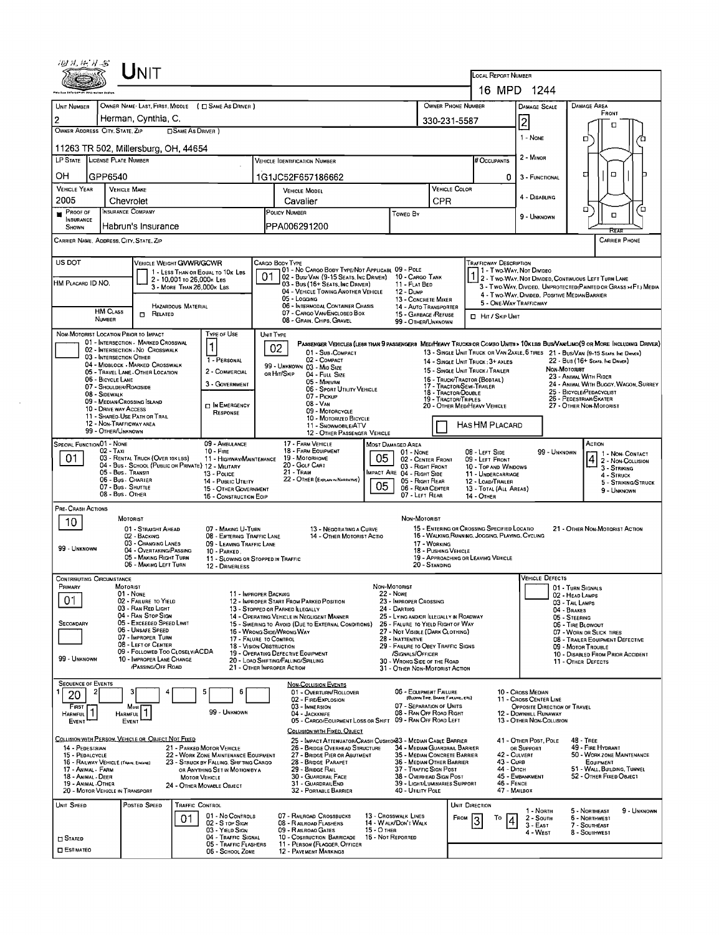| து சு. ஈ. சு. த                                                                                                                                                                                                                                                                                                                                                                                                                                                                                                                                             |                                                                                                                                                                                                                                                                                                                                                                                                                                                                                       |                                                                                                                                                                                                                                                                                                                                                                                    |                                                                                                                                                                                                                                                                                                                                                                                                                                    |
|-------------------------------------------------------------------------------------------------------------------------------------------------------------------------------------------------------------------------------------------------------------------------------------------------------------------------------------------------------------------------------------------------------------------------------------------------------------------------------------------------------------------------------------------------------------|---------------------------------------------------------------------------------------------------------------------------------------------------------------------------------------------------------------------------------------------------------------------------------------------------------------------------------------------------------------------------------------------------------------------------------------------------------------------------------------|------------------------------------------------------------------------------------------------------------------------------------------------------------------------------------------------------------------------------------------------------------------------------------------------------------------------------------------------------------------------------------|------------------------------------------------------------------------------------------------------------------------------------------------------------------------------------------------------------------------------------------------------------------------------------------------------------------------------------------------------------------------------------------------------------------------------------|
|                                                                                                                                                                                                                                                                                                                                                                                                                                                                                                                                                             |                                                                                                                                                                                                                                                                                                                                                                                                                                                                                       | LOCAL REPORT NUMBER                                                                                                                                                                                                                                                                                                                                                                | 16 MPD 1244                                                                                                                                                                                                                                                                                                                                                                                                                        |
|                                                                                                                                                                                                                                                                                                                                                                                                                                                                                                                                                             |                                                                                                                                                                                                                                                                                                                                                                                                                                                                                       |                                                                                                                                                                                                                                                                                                                                                                                    |                                                                                                                                                                                                                                                                                                                                                                                                                                    |
| OWNER NAME LAST, FIRST, MIDDLE ( C SAME AS DRIVER )<br>UNIT NUMBER<br>Herman, Cynthia, C.                                                                                                                                                                                                                                                                                                                                                                                                                                                                   |                                                                                                                                                                                                                                                                                                                                                                                                                                                                                       | <b>OWNER PHONE NUMBER</b>                                                                                                                                                                                                                                                                                                                                                          | <b>DAMAGE AREA</b><br><b>DAMAGE SCALE</b><br>FRONT                                                                                                                                                                                                                                                                                                                                                                                 |
| 2<br>OWNER ADDRESS CITY, STATE, ZIP<br>SAME AS DRIVER )                                                                                                                                                                                                                                                                                                                                                                                                                                                                                                     |                                                                                                                                                                                                                                                                                                                                                                                                                                                                                       | 330-231-5587                                                                                                                                                                                                                                                                                                                                                                       | $\overline{\mathbf{c}}$<br>□                                                                                                                                                                                                                                                                                                                                                                                                       |
|                                                                                                                                                                                                                                                                                                                                                                                                                                                                                                                                                             |                                                                                                                                                                                                                                                                                                                                                                                                                                                                                       |                                                                                                                                                                                                                                                                                                                                                                                    | 1 - NONE<br>о                                                                                                                                                                                                                                                                                                                                                                                                                      |
| 11263 TR 502, Millersburg, OH, 44654<br>LP STATE LICENSE PLATE NUMBER                                                                                                                                                                                                                                                                                                                                                                                                                                                                                       | <b>VEHICLE IDENTIFICATION NUMBER</b>                                                                                                                                                                                                                                                                                                                                                                                                                                                  | <b>FOCCUPANTS</b>                                                                                                                                                                                                                                                                                                                                                                  | 2 - MINOR                                                                                                                                                                                                                                                                                                                                                                                                                          |
| OН                                                                                                                                                                                                                                                                                                                                                                                                                                                                                                                                                          |                                                                                                                                                                                                                                                                                                                                                                                                                                                                                       |                                                                                                                                                                                                                                                                                                                                                                                    | $\Box$<br>◘                                                                                                                                                                                                                                                                                                                                                                                                                        |
| GPP6540<br><b>VEHICLE YEAR</b><br><b>VEHICLE MAKE</b>                                                                                                                                                                                                                                                                                                                                                                                                                                                                                                       | 1G1JC52F657186662<br><b>VEHICLE MODEL</b>                                                                                                                                                                                                                                                                                                                                                                                                                                             | 0<br><b>VEHICLE COLOR</b>                                                                                                                                                                                                                                                                                                                                                          | 3 - FUNCTIONAL                                                                                                                                                                                                                                                                                                                                                                                                                     |
| 2005<br>Chevrolet                                                                                                                                                                                                                                                                                                                                                                                                                                                                                                                                           | Cavalier                                                                                                                                                                                                                                                                                                                                                                                                                                                                              | <b>CPR</b>                                                                                                                                                                                                                                                                                                                                                                         | 4 - DISABLING                                                                                                                                                                                                                                                                                                                                                                                                                      |
| INSURANCE COMPANY<br>$P_{\text{ROOF OF}}$<br>INSURANCE                                                                                                                                                                                                                                                                                                                                                                                                                                                                                                      | POLICY NUMBER                                                                                                                                                                                                                                                                                                                                                                                                                                                                         | Towen By                                                                                                                                                                                                                                                                                                                                                                           | α<br>□<br>о<br>9 UNKNOWN                                                                                                                                                                                                                                                                                                                                                                                                           |
| Habrun's Insurance<br><b>SHOWN</b>                                                                                                                                                                                                                                                                                                                                                                                                                                                                                                                          | PPA006291200                                                                                                                                                                                                                                                                                                                                                                                                                                                                          |                                                                                                                                                                                                                                                                                                                                                                                    |                                                                                                                                                                                                                                                                                                                                                                                                                                    |
| CARRIER NAME, ADDRESS, CITY, STATE, ZIP                                                                                                                                                                                                                                                                                                                                                                                                                                                                                                                     |                                                                                                                                                                                                                                                                                                                                                                                                                                                                                       |                                                                                                                                                                                                                                                                                                                                                                                    | CARRIER PHONE                                                                                                                                                                                                                                                                                                                                                                                                                      |
| US DOT<br>VEHICLE WEIGHT GVWR/GCWR<br>1 - LESS THAN OR EQUAL TO 10K LBS<br>2 - 10,001 to 26,000 k Les<br>HM PLACARD ID NO.<br>3 - MORE THAN 26,000K LBS.<br><b>HAZARDOUS MATERIAL</b><br><b>HM CLASS</b><br>$\Box$ Related                                                                                                                                                                                                                                                                                                                                  | Cargo Body Type<br>01 - No CARGO BODY TYPE/NOT APPLICABL 09 - POLE<br>02 - Bus/Van (9-15 Seats, Inc Driver) 10 - Cargo Tank<br>03 - Bus (16+ SEATS, INC DRIVER)<br>04 - VEHICLE TOWING ANOTHER VEHICLE<br>05 - LOGGING<br>06 - INTERMODAL CONTAINER CHASIS<br>07 - CARGO VAN/ENCLOSED BOX                                                                                                                                                                                             | Trafficway Description<br>1 - Two Way, Not Divideo<br>11 - FLAT BED<br>12 - Dump<br>13 - CONCRETE MIXER<br>5 - ONE-WAY TRAFFICWAY<br>14 - AUTO TRANSPORTER<br>15 - GARBAGE /REFUSE<br><b>D</b> HIT / SKIP UNIT                                                                                                                                                                     | 2 - Two-Way, Not Divided, Continuous Left Turn Lane<br>3 - Two WAY, DIVIDED, UNPROTECTED (PAINTED OR GRASS > FT.) MEDIA<br>4 - Two-Way, Divided, Positive Median Barrier                                                                                                                                                                                                                                                           |
| NUMBER<br>TYPE OF USE<br>NON-MOTORIST LOCATION PRIOR TO IMPACT                                                                                                                                                                                                                                                                                                                                                                                                                                                                                              | 08 - GRAIN, CHIPS, GRAVEL<br>UNIT TYPE                                                                                                                                                                                                                                                                                                                                                                                                                                                | 99 - OTHER/UNKNOWN                                                                                                                                                                                                                                                                                                                                                                 |                                                                                                                                                                                                                                                                                                                                                                                                                                    |
| 01 - INTERSECTION - MARKED CROSSWAL<br>02 - INTERSECTION - NO CROSSWALK<br>03 - INTERSECTION OTHER<br>1 - PERSONAL<br>04 - MIDBLOCK - MARKED CROSSWALK<br>2 - COMMERCIAL<br>05 - TRAVEL LANE - OTHER LOCATION<br>06 - BICYCLE LANE<br>07 - SHOULDER/ROADSIDE<br>08 - Sidewalk<br>09 - MEDIAN/CROSSING ISLAND<br>10 - DRIVE WAY ACCESS<br>11 - Shared-Use Path or Trail<br>12 - NON-TRAFFICWAY AREA<br>99 - OTHER/UNKNOWN                                                                                                                                    | 02<br>01 - Sub COMPACT<br>02 - COMPACT<br>99 - UNKNOWN 03 - MID SIZE<br>ов Ніт/Sкір<br>04 - FULL SIZE<br>05 - MINIVAN<br>3 - GOVERNMENT<br>06 - Sport Utiuty Vehicle<br>07 - Pickup<br>08 - VAN<br>D IN EMERGENCY<br>09 - MOTORCYCLE<br>RESPONSE<br>10 - MOTORIZED BICYCLE<br>11 - SNOWMOBILE/ATV<br>12 - OTHER PASSENGER VEHICLE                                                                                                                                                     | 14 - SINGLE UNIT TRUCK ; 3+ AXLES<br>15 - SINGLE UNIT TRUCK / TRAILER<br>16 - TRUCK/TRACTOR (BOBTAIL)<br>17 - TRACTOR/SEMI-TRAILER<br>18 - TRACTOR/DOUBLE<br>19 - TRACTOR/TRIPLES<br>20 - OTHER MEDIHEAVY VEHICLE<br><b>HAS HM PLACARD</b>                                                                                                                                         | PASSENGER VEHICLES (LESS THAN 9 PASSENGERS MEDIHEAVY TRUCKS OR COMBO UNITS > 10KLBS BUS/VAN/LIMO (9 OR MORE INCLUDING DRIVER)<br>13 - SINGLE UNIT TRUCK OR VAN 2AXLE, 6 TIRES 21 - BUS/VAN (9-15 SEATS, INC DRIVER)<br>22 - Bus (16+ Sears, Inc Driver)<br><b>Non-Motorist</b><br>23 - ANIMAL WITH RIDER<br>24 - ANIMAL WITH BUGGY, WAGON, SURREY<br>25 - BICYCLE/PEDACYCLIST<br>26 - PEDESTRIAN/SKATER<br>27 - Other Non-Motorist |
| Special Function 01 - None<br>09 - AMBULANCE<br>02 - Taxi<br>$10 -$ FIRE<br>01<br>03 - RENTAL TRUCK (OVER 10KLBS)<br>04 - Bus - SCHOOL (PUBLIC OR PRIVATE) 12 - MILITARY<br>05 - Bus. Transit<br>13 - Pouce<br>06 - Bus. Charter<br>07 - Bus - SHUTTLE<br>08 - Bus OTHER<br>PRE-CRASH ACTIONS                                                                                                                                                                                                                                                               | 17 - FARM VEHICLE<br><b>MOST DAMAGED AREA</b><br>18 - FARM EQUIPMENT<br>05<br>19 - MOTORHOME<br>11 - HIGHWAY/MAINTENANCE<br>20 - GOLF CART<br>21 - TRAIN<br>22 - OTHER (EXPLAIN IN NARRATIVE)<br>14 - Pusuc UTILITY<br>05<br>15 - OTHER GOVERNMENT<br>16 - CONSTRUCTION EOIP                                                                                                                                                                                                          | 08 - LEFT SIDE<br>01 - NONE<br>02 - CENTER FRONT<br>09 - LEFT FRONT<br>03 - RIGHT FRONT<br>10 - TOP AND WINDOWS<br>IMPACT ARE 04 - RIGHT SIDE<br>11 - UNDERCARRIAGE<br>05 - RIGHT REAR<br>12 - LOAD/TRAILER<br>06 - REAR CENTER<br>13 - TOTAL (ALL AREAS)<br>07 - LEFT REAR<br>14 - OTHER                                                                                          | ACTION<br>99 - Unknown<br>1 - Non-Contact<br>4 2 Non-Collision<br>3 - STRIKING<br>4 - STRUCK<br>5 - STRIKING/STRUCK<br>9 - UNKNOWN                                                                                                                                                                                                                                                                                                 |
| MOTORIST<br>10<br>01 - STRAIGHT AHEAD<br>02 - BACKING<br>03 - CHANGING LANES<br>99 - UNKNOWN<br>04 - OVERTAKING/PASSING<br>10 - PARKED.<br>05 - MAKING RIGHT TURN<br>06 - MAKING LEFT TURN                                                                                                                                                                                                                                                                                                                                                                  | 07 - MAKING U-TURN<br>13 - NEGOTIATING A CURVE<br>08 - ENTERING TRAFFIC LANE<br>14 - OTHER MOTORIST ACTIO<br>09 - LEAVING TRAFFIC LANE<br>11 - SLOWING OR STOPPED IN TRAFFIC<br>12 - DRIVERLESS                                                                                                                                                                                                                                                                                       | NON MOTORIST<br>15 - ENTERING OR CROSSING SPECIFIED LOCATIO<br>16 - WALKING, RUNNING, JOGGING, PLAYING, CYCLING<br>17 - WORKING<br>18 - PUSHING VEHICLE<br>19 - APPROACHING OR LEAVING VEHICLE<br>20 - Standing                                                                                                                                                                    | 21 - OTHER NON-MOTORIST ACTION                                                                                                                                                                                                                                                                                                                                                                                                     |
| <b>CONTRIBUTING CIRCUMSTANCE</b><br>Primary<br>MOTORIST<br>01 - None<br>0 <sup>1</sup><br>02 - FAILURE TO YIELD<br>03 - RAN RED LIGHT<br>04 - RAN STOP SIGN<br>05 - Exceeded Speed Limit<br>SECONDARY<br>06 - UNSAFE SPEED<br>07 - IMPROPER TURN<br>08 - LEFT OF CENTER<br>09 - FOLLOWED TOO CLOSELY/ACDA<br>99 - UNKNOWN<br>10 - IMPROPER LANE CHANGE<br>/PASSING/OFF ROAD                                                                                                                                                                                 | Non-Motorist<br>11 - IMPROPER BACKING<br><b>22 - NONE</b><br>12 - IMPROPER START FROM PARKED POSITION<br>24 - DARTING<br>13 - STOPPED OR PARKED ILLEGALLY<br>14 - OPERATING VEHICLE IN NEGLIGENT MANNER<br>15 - Swering to Avoid (Due to External Conditions)<br>16 - WRONG SIDE/WRONG WAY<br>17 - FALURE TO CONTROL<br>28 - INATTENTIVE<br>18 - VISION OBSTRUCTION<br>19 - OPERATING DEFECTIVE EQUIPMENT<br>20 - LOAD SHIFTING/FALLING/SPILLING<br>21 - OTHER IMPROPER ACTION        | 23 - IMPROPER CROSSING<br>25 - LYING AND/OR ILLEGALLY IN ROADWAY<br>26 - FALURE TO YIELD RIGHT OF WAY<br>27 - NOT VISIBLE (DARK CLOTHING)<br>29 - FAILURE TO OBEY TRAFFIC SIGNS<br>/SIGNALS/OFFICER<br>30 - Wrong Side of the Road<br>31 - OTHER NON-MOTORIST ACTION                                                                                                               | <b>VEHICLE DEFECTS</b><br>01 - TURN SIGNALS<br>02 - HEAD LAMPS<br>03 - TAIL LAMPS<br>04 - BRAKES<br>05 - STEERING<br>06 - TIRE BLOWOUT<br>07 - WORN OR SLICK TIRES<br>08 - TRAILER EQUIPMENT DEFECTIVE<br>09 - MOTOR TROUBLE<br>10 - DISABLED FROM PRIOR ACCIDENT<br>11 - OTHER DEFECTS                                                                                                                                            |
| <b>SEQUENCE OF EVENTS</b><br>5<br>20<br>FIRST<br>Most<br>HARMFUL <sup>1</sup><br><b>HARMFUL</b><br>EVENT<br>EVENT<br>COLLISION WITH PERSON, VEHICLE OR OBJECT NOT FIXED<br>14 - PEDESTRIAN<br>21 - PARKED MOTOR VEHICLE<br>22 - WORK ZONE MAINTENANCE EQUIPMENT<br>15 - PEDALCYCLE<br>16 - RAILWAY VEHICLE (TRAIN, ENGINE)<br>23 - STRUCK BY FALLING, SHIFTING CARGO<br>17 - Animal - Farm<br>OR ANYTHING SET IN MOTION BY A<br>18 ANIMAL - DEER<br><b>MOTOR VEHICLE</b><br>19 ANIMAL OTHER<br>24 - OTHER MOVABLE OBJECT<br>20 - MOTOR VEHICLE IN TRANSPORT | <b>NON-COLLISION EVENTS</b><br>01 - Overturn/Rollover<br>6<br>02 - FIRE/EXPLOSION<br>03 - IMMERSION<br>99 - UNKNOWN<br>04 - JACKKNIFE<br>05 - CARGO/EQUIPMENT LOSS OR SHIFT 09 - RAN OFF ROAD LEFT<br>COLLISION WITH FIXED, OBJECT<br>25 - IMPACT ATTENUATOR/CRASH CUSHION33 - MEDIAN CABLE BARRIER<br>26 - BRIDGE OVERHEAD STRUCTURE<br>27 - BRIDGE PIER OR ABUTMENT<br>28 - BRIDGE PARAPET<br>29 - BRIDGE RAIL<br>30 - GUARDRAIL FACE<br>31 - GUARDRAILEND<br>32 - PORTABLE BARRIER | 06 - FOUIPMENT FAILURE<br>(BLOWN TIRE, BRAKE FAILURE, ETC)<br>07 - SEPARATION OF UNITS<br>08 - RAN OFF ROAD RIGHT<br>34 - MEDIAN GUARDRAIL BARRIER<br>35 - MEDIAN CONCRETE BARRIER<br>36 - MEDIAN OTHER BARRIER<br>43 - CuRB<br>37 - TRAFFIC SIGN POST<br>44 - Олсн<br>38 - OVERHEAD SIGN POST<br>39 - LIGHT/LUMINARIES SUPPORT<br>46 - FENCE<br>40 - UTILITY POLE<br>47 - MAILBOX | 10 - Cross Median<br>11 - CROSS CENTER LINE<br>OPPOSITE DIRECTION OF TRAVEL<br>12 - DOWNHILL RUNAWAY<br>13 - OTHER NON-COLLISION<br>41 - OTHER POST, POLE<br>48 - TREE<br>49 - FIRE HYDRANT<br>OR SUPPORT<br>42 - CULVERT<br>50 - WORK ZONE MAINTENANCE<br>EQUIPMENT<br>51 - WALL, BUILDING, TUNNEL<br>45 - EMBANKMENT<br>52 - OTHER FIXED OBJECT                                                                                  |
| Unit Speed<br>POSTED SPEED<br>TRAFFIC CONTROL<br>01<br>$\Box$ Stated<br>ESTIMATEO                                                                                                                                                                                                                                                                                                                                                                                                                                                                           | 01 - No Controls<br>07 - RAILROAD CROSSBUCKS<br>13 - Crosswalk LINES<br>14 - WALK/DON'T WALK<br>02 - S TOP SIGN<br>08 - RAILROAD FLASHERS<br>15 - О тнев<br>03 - YIELD SIGN<br>09 - RAILROAO GATES<br>04 - TRAFFIC SIGNAL<br>10 - Costruction Barricade<br>16 - Not Reported<br>05 - TRAFFIC FLASHERS<br>11 - PERSON (FLAGGER, OFFICER<br><b>12 - PAVEMENT MARKINGS</b><br>06 - SCHOOL ZONE                                                                                           | UNIT DIRECTION<br>FROM<br>To<br>3                                                                                                                                                                                                                                                                                                                                                  | 9 - UNKNOWN<br>1 - North<br>5 - Northeast<br>2 - South<br><b>6 - NORTHWEST</b><br>3 - East<br>7 - SOUTHEAST<br>4 WEST<br>8 - SOUTHWEST                                                                                                                                                                                                                                                                                             |